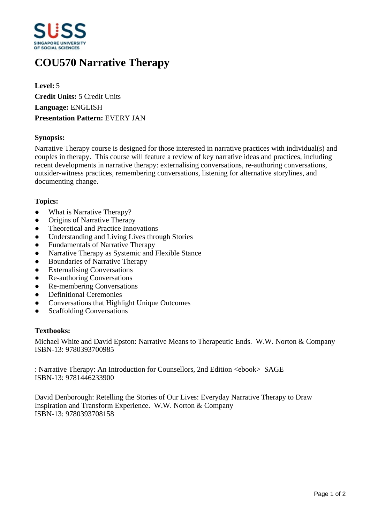

# **COU570 Narrative Therapy**

**Level:** 5 **Credit Units:** 5 Credit Units **Language:** ENGLISH **Presentation Pattern:** EVERY JAN

## **Synopsis:**

Narrative Therapy course is designed for those interested in narrative practices with individual(s) and couples in therapy. This course will feature a review of key narrative ideas and practices, including recent developments in narrative therapy: externalising conversations, re-authoring conversations, outsider-witness practices, remembering conversations, listening for alternative storylines, and documenting change.

#### **Topics:**

- What is Narrative Therapy?
- Origins of Narrative Therapy
- Theoretical and Practice Innovations
- Understanding and Living Lives through Stories
- ƔFundamentals of Narrative Therapy
- Narrative Therapy as Systemic and Flexible Stance
- Boundaries of Narrative Therapy
- Externalising Conversations
- Re-authoring Conversations
- Re-membering Conversations
- Definitional Ceremonies
- Conversations that Highlight Unique Outcomes
- Scaffolding Conversations

#### **Textbooks:**

Michael White and David Epston: Narrative Means to Therapeutic Ends. W.W. Norton & Company ISBN-13: 9780393700985

: Narrative Therapy: An Introduction for Counsellors, 2nd Edition <ebook> SAGE ISBN-13: 9781446233900

David Denborough: Retelling the Stories of Our Lives: Everyday Narrative Therapy to Draw Inspiration and Transform Experience. W.W. Norton & Company ISBN-13: 9780393708158